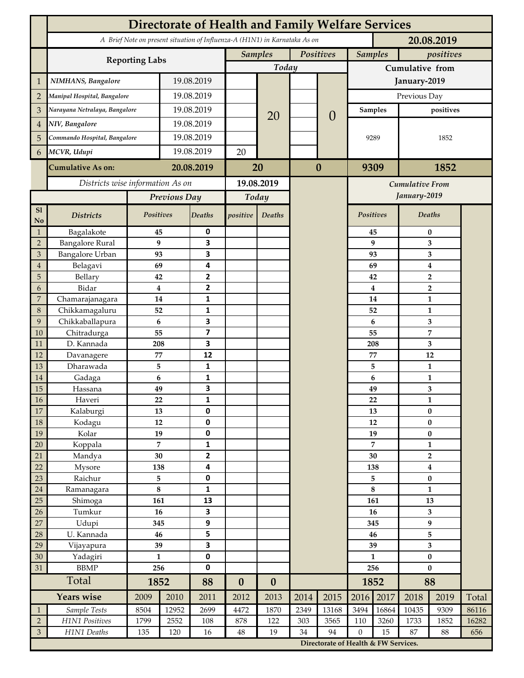|                     | <b>Directorate of Health and Family Welfare Services</b>                                 |                    |                      |                                |                  |                  |           |                                      |                        |                             |                                |              |       |  |
|---------------------|------------------------------------------------------------------------------------------|--------------------|----------------------|--------------------------------|------------------|------------------|-----------|--------------------------------------|------------------------|-----------------------------|--------------------------------|--------------|-------|--|
|                     | A Brief Note on present situation of Influenza-A (H1N1) in Karnataka As on<br>20.08.2019 |                    |                      |                                |                  |                  |           |                                      |                        |                             |                                |              |       |  |
|                     |                                                                                          |                    |                      |                                | <b>Samples</b>   |                  | Positives |                                      |                        | <b>Samples</b><br>positives |                                |              |       |  |
|                     | <b>Reporting Labs</b>                                                                    |                    |                      |                                | Today            |                  |           |                                      | Cumulative from        |                             |                                |              |       |  |
| $\mathbf 1$         | NIMHANS, Bangalore                                                                       | 19.08.2019         |                      |                                |                  |                  |           | January-2019                         |                        |                             |                                |              |       |  |
| $\overline{2}$      | Manipal Hospital, Bangalore                                                              |                    | 19.08.2019           |                                |                  |                  |           |                                      | Previous Day           |                             |                                |              |       |  |
| 3                   | Narayana Netralaya, Bangalore                                                            |                    |                      | 19.08.2019                     |                  |                  |           | $\overline{0}$                       | <b>Samples</b>         |                             | positives                      |              |       |  |
| $\overline{4}$      | NIV, Bangalore                                                                           |                    | 19.08.2019           |                                |                  | 20               |           |                                      |                        |                             |                                |              |       |  |
| 5                   | Commando Hospital, Bangalore                                                             |                    | 19.08.2019           |                                |                  |                  |           |                                      | 9289                   |                             | 1852                           |              |       |  |
| 6                   | MCVR, Udupi                                                                              |                    | 19.08.2019           |                                | 20               |                  |           |                                      |                        |                             |                                |              |       |  |
|                     | <b>Cumulative As on:</b>                                                                 | 20.08.2019         |                      |                                |                  | $\bf{0}$         |           | 9309                                 |                        | 1852                        |                                |              |       |  |
|                     |                                                                                          |                    |                      | 20                             |                  |                  |           |                                      |                        |                             |                                |              |       |  |
|                     | Districts wise information As on                                                         |                    |                      | 19.08.2019                     |                  |                  |           |                                      | <b>Cumulative From</b> |                             |                                |              |       |  |
|                     |                                                                                          | Previous Day       |                      | Today                          |                  |                  |           | January-2019                         |                        |                             |                                |              |       |  |
| S1<br>No            | <b>Districts</b>                                                                         | Positives          |                      | <b>Deaths</b>                  | positive         | Deaths           |           |                                      | Positives              |                             |                                | Deaths       |       |  |
| $\mathbf{1}$        | Bagalakote                                                                               | 45                 |                      | 0                              |                  |                  |           |                                      |                        | 45                          | $\pmb{0}$                      |              |       |  |
| $\overline{2}$      | <b>Bangalore Rural</b>                                                                   |                    | 9                    | 3                              |                  |                  |           |                                      |                        | 9                           | 3                              |              |       |  |
| 3<br>$\overline{4}$ | Bangalore Urban<br>Belagavi                                                              | 93<br>69           |                      | 3<br>4                         |                  |                  |           |                                      |                        | 93<br>69                    | 3<br>4                         |              |       |  |
| 5                   | Bellary                                                                                  | 42                 |                      | $\mathbf{2}$                   |                  |                  |           |                                      |                        | 42                          | $\mathbf 2$                    |              |       |  |
| 6                   | Bidar                                                                                    |                    | $\bf{4}$             | $\mathbf{2}$                   |                  |                  |           | $\overline{\mathbf{4}}$              |                        |                             | $\overline{2}$                 |              |       |  |
| 7                   | Chamarajanagara                                                                          |                    | 14                   | $\mathbf{1}$                   |                  |                  |           |                                      | 14<br>52               |                             |                                | $\mathbf{1}$ |       |  |
| 8                   | Chikkamagaluru                                                                           |                    | 52                   | $\mathbf{1}$                   |                  |                  |           |                                      |                        |                             |                                | 1            |       |  |
| 9                   | Chikkaballapura                                                                          |                    | 6                    | 3                              |                  |                  |           |                                      | 6                      |                             | 3                              |              |       |  |
| 10                  | Chitradurga                                                                              | 55                 |                      | $\overline{\mathbf{z}}$        |                  |                  |           |                                      | 55<br>208              |                             | 7                              |              |       |  |
| 11<br>12            | D. Kannada                                                                               | 208<br>77          |                      | 3<br>12                        |                  |                  |           |                                      |                        | 77                          | 3<br>12                        |              |       |  |
| 13                  | Davanagere<br>Dharawada                                                                  |                    | 5                    | $\mathbf{1}$                   |                  |                  |           |                                      |                        | 5                           | $\mathbf{1}$                   |              |       |  |
| $14\,$              | Gadaga                                                                                   |                    | 6                    | 1                              |                  |                  |           |                                      |                        | 6                           | $\mathbf{1}$                   |              |       |  |
| 15                  | Hassana                                                                                  |                    | 49                   | 3                              |                  |                  |           |                                      |                        | 49                          |                                | 3            |       |  |
| $16\,$              | Haveri                                                                                   | 22                 |                      | 1                              |                  |                  |           |                                      |                        | ${\bf 22}$                  |                                | $\mathbf{1}$ |       |  |
| 17                  | Kalaburgi                                                                                | 13                 |                      | $\mathbf 0$                    |                  |                  |           |                                      |                        | 13                          | $\bf{0}$                       |              |       |  |
| $18\,$              | Kodagu                                                                                   | $12\,$             |                      | $\pmb{0}$                      |                  |                  |           |                                      | $12\,$                 |                             |                                | $\bf{0}$     |       |  |
| 19                  | Kolar                                                                                    | 19                 |                      | $\pmb{0}$                      |                  |                  |           |                                      | 19                     |                             | $\pmb{0}$                      |              |       |  |
| $20\,$<br>21        | Koppala<br>Mandya                                                                        |                    | $\overline{7}$<br>30 | $\mathbf{1}$<br>$\overline{2}$ |                  |                  |           |                                      | $\overline{7}$<br>30   |                             | $\mathbf{1}$<br>$\overline{2}$ |              |       |  |
| 22                  | Mysore                                                                                   | 138                |                      | 4                              |                  |                  |           |                                      | 138                    |                             | 4                              |              |       |  |
| 23                  | Raichur                                                                                  |                    | 5                    | $\pmb{0}$                      |                  |                  |           |                                      | 5                      |                             | $\bf{0}$                       |              |       |  |
| $24\,$              | Ramanagara                                                                               | $\bf 8$            |                      | $\mathbf 1$                    |                  |                  |           |                                      | $\bf 8$                |                             | $\mathbf{1}$                   |              |       |  |
| 25                  | Shimoga                                                                                  | 161                |                      | 13                             |                  |                  |           |                                      |                        | 161                         | 13                             |              |       |  |
| 26                  | Tumkur                                                                                   | 16                 |                      | 3                              |                  |                  |           |                                      |                        | 16                          | $\overline{\mathbf{3}}$        |              |       |  |
| $27\,$              | Udupi                                                                                    | 345                |                      | $\boldsymbol{9}$               |                  |                  |           |                                      | 345                    |                             | 9                              |              |       |  |
| 28                  | U. Kannada                                                                               | 46                 |                      | 5                              |                  |                  |           |                                      | 46                     |                             | 5                              |              |       |  |
| 29                  | Vijayapura                                                                               | 39<br>$\mathbf{1}$ |                      | 3<br>$\pmb{0}$                 |                  |                  |           |                                      | 39<br>$\mathbf{1}$     |                             | 3                              |              |       |  |
| 30<br>31            | Yadagiri<br><b>BBMP</b>                                                                  |                    | 256                  | $\pmb{0}$                      |                  |                  |           |                                      | 256                    |                             | $\pmb{0}$<br>$\bf{0}$          |              |       |  |
|                     | Total                                                                                    |                    | 1852                 |                                | $\boldsymbol{0}$ | $\boldsymbol{0}$ |           |                                      | 1852                   |                             | 88                             |              |       |  |
|                     | Years wise                                                                               | 2009               | 2010                 | 88<br>2011                     | 2012             | 2013             | 2014      | 2015                                 | 2016                   | 2017                        | 2018                           | 2019         | Total |  |
| $\mathbf{1}$        | Sample Tests                                                                             | 8504               | 12952                | 2699                           | 4472             | 1870             | 2349      | 13168                                | 3494                   | 16864                       | 10435                          | 9309         | 86116 |  |
| $\sqrt{2}$          | H1N1 Positives                                                                           | 1799               | 2552                 | 108                            | 878              | 122              | 303       | 3565                                 | 110                    | 3260                        | 1733                           | 1852         | 16282 |  |
| $\mathfrak{Z}$      | H1N1 Deaths                                                                              | 135                | 120                  | 16                             | $48\,$           | 19               | 34        | 94                                   | $\boldsymbol{0}$       | 15                          | 87                             | 88           | 656   |  |
|                     |                                                                                          |                    |                      |                                |                  |                  |           | Directorate of Health & FW Services. |                        |                             |                                |              |       |  |